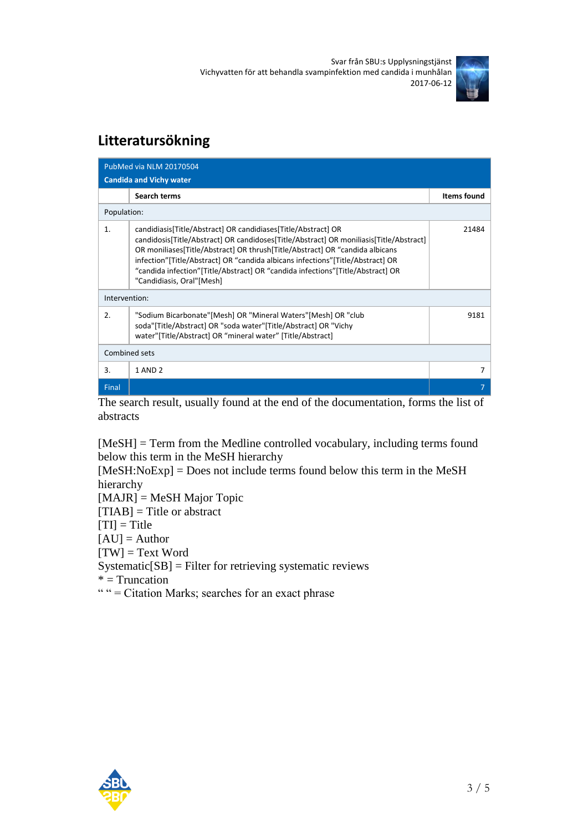Svar från SBU:s Upplysningstjänst Vichyvatten för att behandla svampinfektion med candida i munhålan 2017-06-12



## **Litteratursökning**

| PubMed via NLM 20170504        |                                                                                                                                                                                                                                                                                                                                                                                                                                            |                    |  |
|--------------------------------|--------------------------------------------------------------------------------------------------------------------------------------------------------------------------------------------------------------------------------------------------------------------------------------------------------------------------------------------------------------------------------------------------------------------------------------------|--------------------|--|
| <b>Candida and Vichy water</b> |                                                                                                                                                                                                                                                                                                                                                                                                                                            |                    |  |
|                                | <b>Search terms</b>                                                                                                                                                                                                                                                                                                                                                                                                                        | <b>Items found</b> |  |
| Population:                    |                                                                                                                                                                                                                                                                                                                                                                                                                                            |                    |  |
| 1.                             | candidiasis[Title/Abstract] OR candidiases[Title/Abstract] OR<br>candidosis[Title/Abstract] OR candidoses[Title/Abstract] OR moniliasis[Title/Abstract]<br>OR moniliases[Title/Abstract] OR thrush[Title/Abstract] OR "candida albicans<br>infection" [Title/Abstract] OR "candida albicans infections" [Title/Abstract] OR<br>"candida infection"[Title/Abstract] OR "candida infections"[Title/Abstract] OR<br>"Candidiasis, Oral"[Mesh] | 21484              |  |
| Intervention:                  |                                                                                                                                                                                                                                                                                                                                                                                                                                            |                    |  |
| 2.                             | "Sodium Bicarbonate"[Mesh] OR "Mineral Waters"[Mesh] OR "club<br>soda"[Title/Abstract] OR "soda water"[Title/Abstract] OR "Vichy<br>water"[Title/Abstract] OR "mineral water" [Title/Abstract]                                                                                                                                                                                                                                             | 9181               |  |
| Combined sets                  |                                                                                                                                                                                                                                                                                                                                                                                                                                            |                    |  |
| 3.                             | 1 AND 2                                                                                                                                                                                                                                                                                                                                                                                                                                    | 7                  |  |
| Final                          |                                                                                                                                                                                                                                                                                                                                                                                                                                            |                    |  |

The search result, usually found at the end of the documentation, forms the list of abstracts

[MeSH] = Term from the Medline controlled vocabulary, including terms found below this term in the MeSH hierarchy

[MeSH:NoExp] = Does not include terms found below this term in the MeSH hierarchy

[MAJR] = MeSH Major Topic

 $[TIAB] = Title or abstract$ 

 $[TI] = Title$ 

 $[AU] =$ Author

 $[TW] = Text Word$ 

Systematic[SB] = Filter for retrieving systematic reviews

 $*$  = Truncation

" " = Citation Marks; searches for an exact phrase

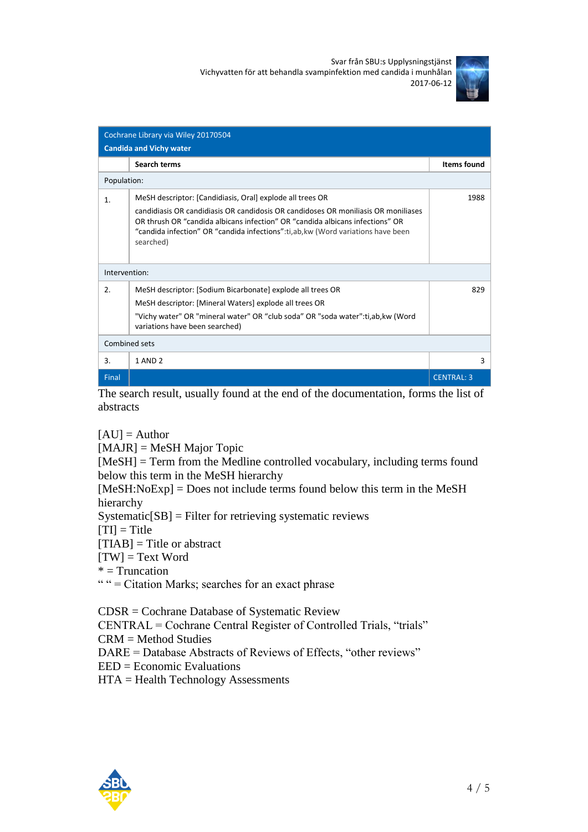Svar från SBU:s Upplysningstjänst Vichyvatten för att behandla svampinfektion med candida i munhålan 2017-06-12



| Cochrane Library via Wiley 20170504<br><b>Candida and Vichy water</b> |                                                                                                                                                                                                                                                                                                                                  |                    |  |
|-----------------------------------------------------------------------|----------------------------------------------------------------------------------------------------------------------------------------------------------------------------------------------------------------------------------------------------------------------------------------------------------------------------------|--------------------|--|
|                                                                       | Search terms                                                                                                                                                                                                                                                                                                                     | <b>Items found</b> |  |
| Population:                                                           |                                                                                                                                                                                                                                                                                                                                  |                    |  |
| 1.                                                                    | MeSH descriptor: [Candidiasis, Oral] explode all trees OR<br>candidiasis OR candidiasis OR candidosis OR candidoses OR monifiasis OR monifiases<br>OR thrush OR "candida albicans infection" OR "candida albicans infections" OR<br>"candida infection" OR "candida infections":ti,ab,kw (Word variations have been<br>searched) | 1988               |  |
| Intervention:                                                         |                                                                                                                                                                                                                                                                                                                                  |                    |  |
| 2.                                                                    | MeSH descriptor: [Sodium Bicarbonate] explode all trees OR<br>MeSH descriptor: [Mineral Waters] explode all trees OR<br>"Vichy water" OR "mineral water" OR "club soda" OR "soda water":ti,ab,kw (Word<br>variations have been searched)                                                                                         | 829                |  |
| Combined sets                                                         |                                                                                                                                                                                                                                                                                                                                  |                    |  |
| 3.                                                                    | 1 AND 2                                                                                                                                                                                                                                                                                                                          | 3                  |  |
| Final                                                                 |                                                                                                                                                                                                                                                                                                                                  | <b>CENTRAL: 3</b>  |  |

The search result, usually found at the end of the documentation, forms the list of abstracts

 $[AU] =$  Author

[MAJR] = MeSH Major Topic

[MeSH] = Term from the Medline controlled vocabulary, including terms found below this term in the MeSH hierarchy

[MeSH:NoExp] = Does not include terms found below this term in the MeSH hierarchy

 $Systematic[SB] = Filter for retrieving systematic reviews$ 

 $[TI] = Title$ 

 $[TIAB] = Title$  or abstract

 $[TW] = Text Word$ 

 $*$  = Truncation

" " = Citation Marks; searches for an exact phrase

CDSR = Cochrane Database of Systematic Review

CENTRAL = Cochrane Central Register of Controlled Trials, "trials"

CRM = Method Studies

DARE = Database Abstracts of Reviews of Effects, "other reviews"

EED = Economic Evaluations

HTA = Health Technology Assessments